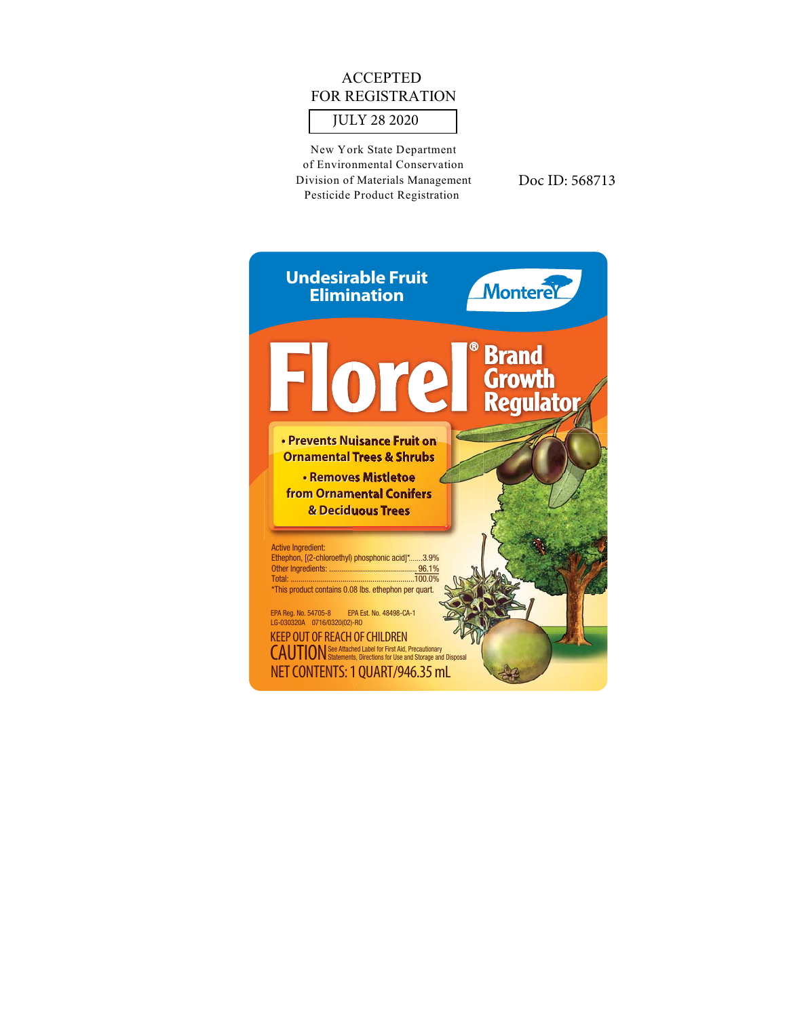## **ACCEPTED** FOR REGISTRATION

## **JULY 28 2020**

New York State Department of Environmental Conservation Division of Materials Management Pesticide Product Registration

Doc ID: 568713

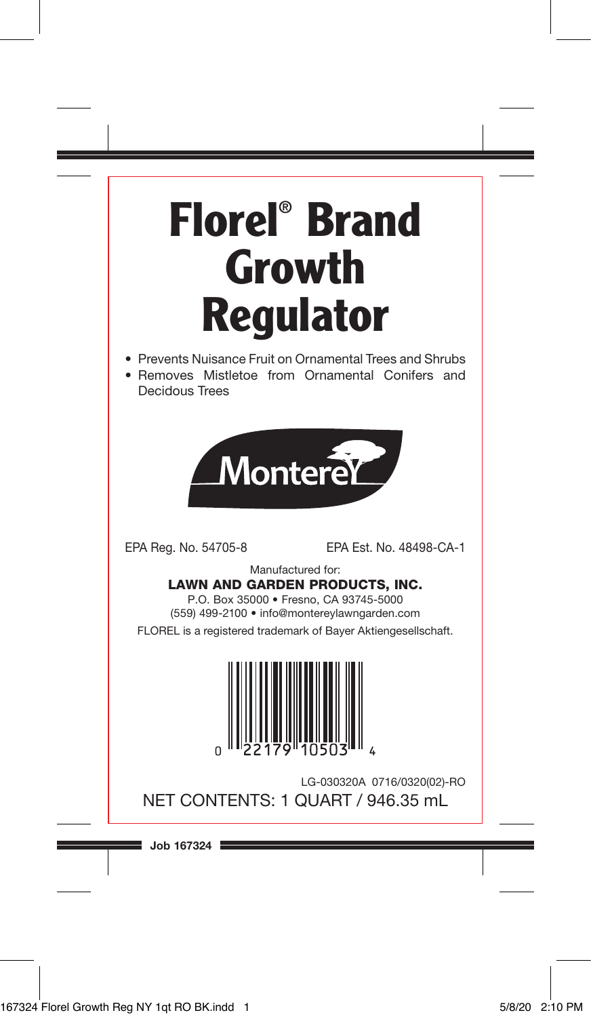# **Florel® Brand Growth Regulator**

- Prevents Nuisance Fruit on Ornamental Trees and Shrubs
- Removes Mistletoe from Ornamental Conifers and Decidous Trees



EPA Reg. No. 54705-8 EPA Est. No. 48498-CA-1

Manufactured for:

LAWN AND GARDEN PRODUCTS, INC.

P.O. Box 35000 • Fresno, CA 93745-5000 (559) 499-2100 • info@montereylawngarden.com

FLOREL is a registered trademark of Bayer Aktiengesellschaft.



LG-030320A 0716/0320(02)-RO NET CONTENTS: 1 QUART / 946.35 mL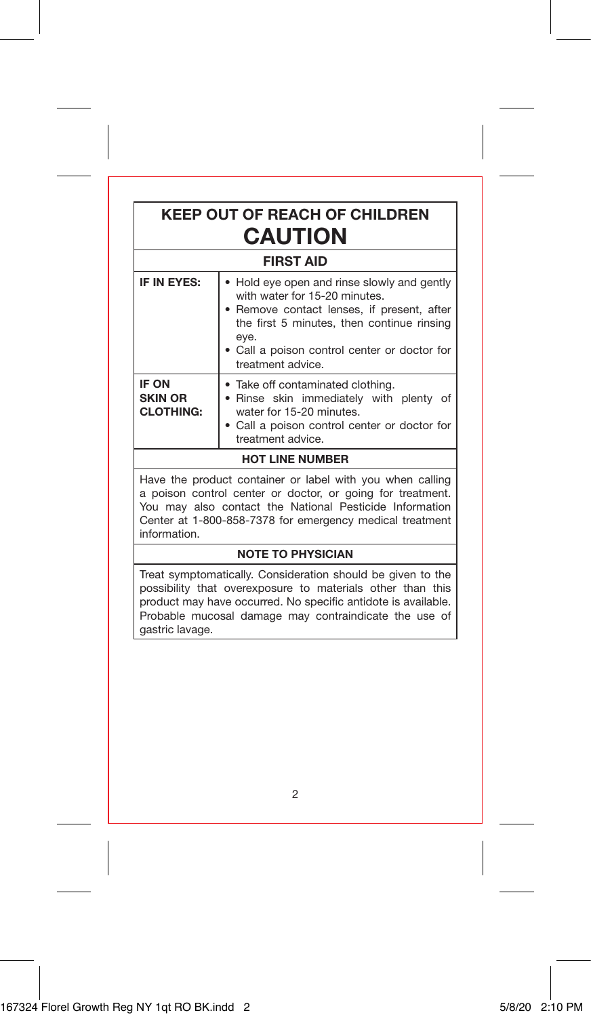### **KEEP OUT OF REACH OF CHILDREN CAUTION**

#### **FIRST AID**

| IF IN EYES:                                 | • Hold eye open and rinse slowly and gently<br>with water for 15-20 minutes.<br>• Remove contact lenses, if present, after<br>the first 5 minutes, then continue rinsing<br>eye.<br>• Call a poison control center or doctor for<br>treatment advice. |  |
|---------------------------------------------|-------------------------------------------------------------------------------------------------------------------------------------------------------------------------------------------------------------------------------------------------------|--|
| IF ON<br><b>SKIN OR</b><br><b>CLOTHING:</b> | • Take off contaminated clothing.<br>. Rinse skin immediately with plenty<br>of<br>water for 15-20 minutes.<br>• Call a poison control center or doctor for<br>treatment advice.                                                                      |  |
| <b>HOT LINE NUMBER</b>                      |                                                                                                                                                                                                                                                       |  |

Have the product container or label with you when calling a poison control center or doctor, or going for treatment. You may also contact the National Pesticide Information Center at 1-800-858-7378 for emergency medical treatment information.

#### **NOTE TO PHYSICIAN**

Treat symptomatically. Consideration should be given to the possibility that overexposure to materials other than this product may have occurred. No specific antidote is available. Probable mucosal damage may contraindicate the use of gastric lavage.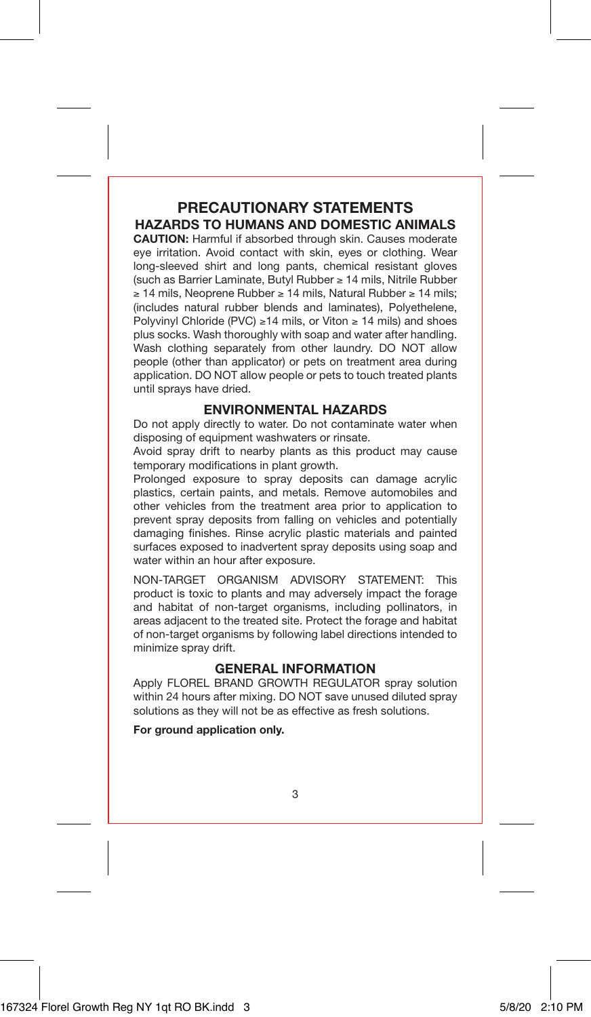#### **PRECAUTIONARY STATEMENTS HAZARDS TO HUMANS AND DOMESTIC ANIMALS**

**CAUTION:** Harmful if absorbed through skin. Causes moderate eye irritation. Avoid contact with skin, eyes or clothing. Wear long-sleeved shirt and long pants, chemical resistant gloves (such as Barrier Laminate, Butyl Rubber ≥ 14 mils, Nitrile Rubber ≥ 14 mils, Neoprene Rubber ≥ 14 mils, Natural Rubber ≥ 14 mils; (includes natural rubber blends and laminates), Polyethelene, Polyvinyl Chloride (PVC) ≥14 mils, or Viton ≥ 14 mils) and shoes plus socks. Wash thoroughly with soap and water after handling. Wash clothing separately from other laundry. DO NOT allow people (other than applicator) or pets on treatment area during application. DO NOT allow people or pets to touch treated plants until sprays have dried.

#### **ENVIRONMENTAL HAZARDS**

Do not apply directly to water. Do not contaminate water when disposing of equipment washwaters or rinsate.

Avoid spray drift to nearby plants as this product may cause temporary modifications in plant growth.

Prolonged exposure to spray deposits can damage acrylic plastics, certain paints, and metals. Remove automobiles and other vehicles from the treatment area prior to application to prevent spray deposits from falling on vehicles and potentially damaging finishes. Rinse acrylic plastic materials and painted surfaces exposed to inadvertent spray deposits using soap and water within an hour after exposure.

NON-TARGET ORGANISM ADVISORY STATEMENT: This product is toxic to plants and may adversely impact the forage and habitat of non-target organisms, including pollinators, in areas adjacent to the treated site. Protect the forage and habitat of non-target organisms by following label directions intended to minimize spray drift.

#### **GENERAL INFORMATION**

Apply FLOREL BRAND GROWTH REGULATOR spray solution within 24 hours after mixing. DO NOT save unused diluted spray solutions as they will not be as effective as fresh solutions.

**For ground application only.**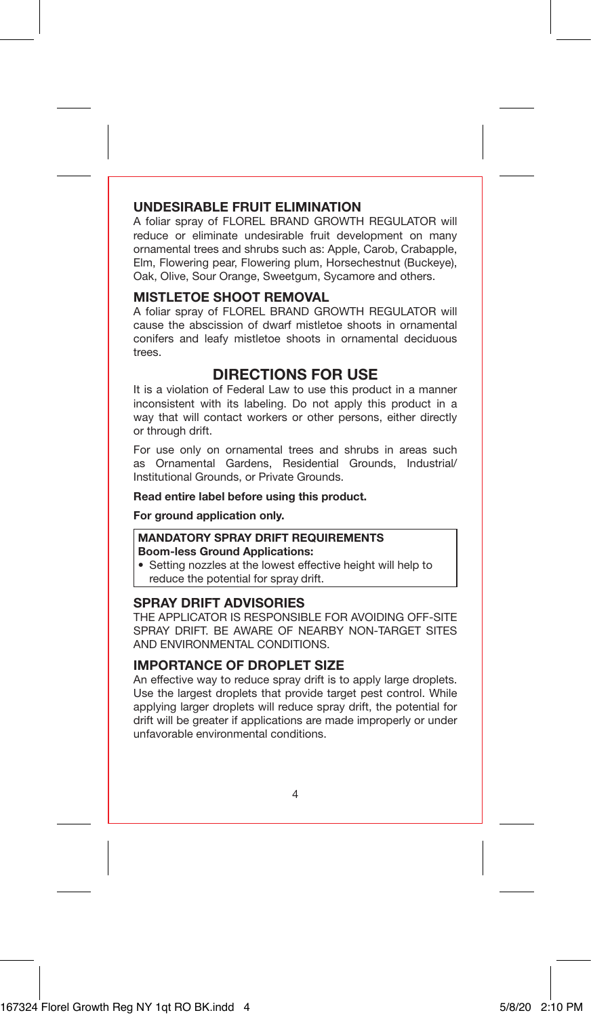#### **UNDESIRABLE FRUIT ELIMINATION**

A foliar spray of FLOREL BRAND GROWTH REGULATOR will reduce or eliminate undesirable fruit development on many ornamental trees and shrubs such as: Apple, Carob, Crabapple, Elm, Flowering pear, Flowering plum, Horsechestnut (Buckeye), Oak, Olive, Sour Orange, Sweetgum, Sycamore and others.

#### **MISTLETOE SHOOT REMOVAL**

A foliar spray of FLOREL BRAND GROWTH REGULATOR will cause the abscission of dwarf mistletoe shoots in ornamental conifers and leafy mistletoe shoots in ornamental deciduous trees.

#### **DIRECTIONS FOR USE**

It is a violation of Federal Law to use this product in a manner inconsistent with its labeling. Do not apply this product in a way that will contact workers or other persons, either directly or through drift.

For use only on ornamental trees and shrubs in areas such as Ornamental Gardens, Residential Grounds, Industrial/ Institutional Grounds, or Private Grounds.

#### **Read entire label before using this product.**

**For ground application only.**

#### **MANDATORY SPRAY DRIFT REQUIREMENTS Boom-less Ground Applications:**

• Setting nozzles at the lowest effective height will help to reduce the potential for spray drift.

#### **SPRAY DRIFT ADVISORIES**

THE APPLICATOR IS RESPONSIBLE FOR AVOIDING OFF-SITE SPRAY DRIFT. BE AWARE OF NEARBY NON-TARGET SITES AND ENVIRONMENTAL CONDITIONS.

#### **IMPORTANCE OF DROPLET SIZE**

An effective way to reduce spray drift is to apply large droplets. Use the largest droplets that provide target pest control. While applying larger droplets will reduce spray drift, the potential for drift will be greater if applications are made improperly or under unfavorable environmental conditions.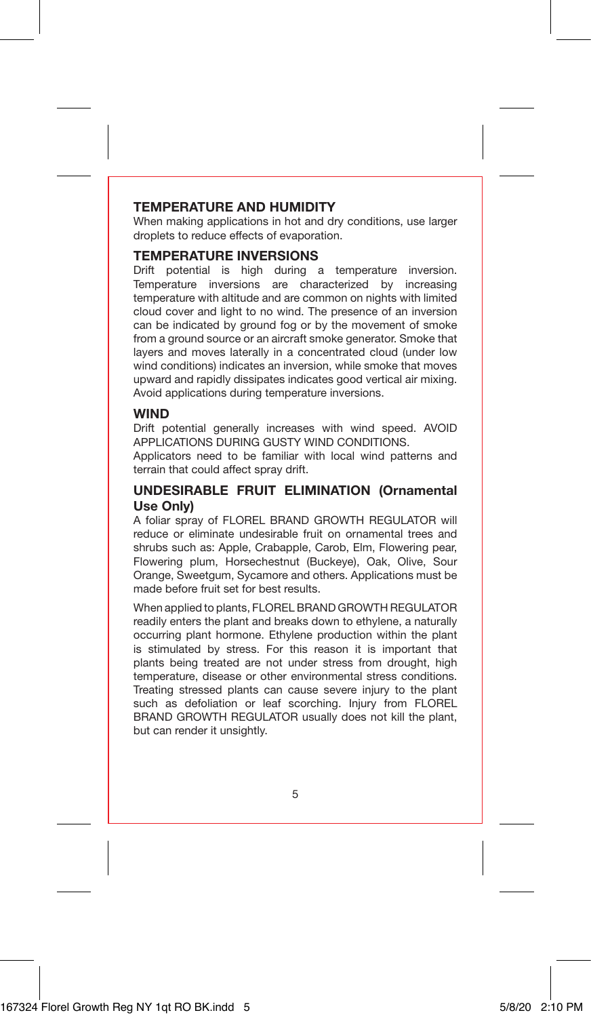#### **TEMPERATURE AND HUMIDITY**

When making applications in hot and dry conditions, use larger droplets to reduce effects of evaporation.

#### **TEMPERATURE INVERSIONS**

Drift potential is high during a temperature inversion. Temperature inversions are characterized by increasing temperature with altitude and are common on nights with limited cloud cover and light to no wind. The presence of an inversion can be indicated by ground fog or by the movement of smoke from a ground source or an aircraft smoke generator. Smoke that layers and moves laterally in a concentrated cloud (under low wind conditions) indicates an inversion, while smoke that moves upward and rapidly dissipates indicates good vertical air mixing. Avoid applications during temperature inversions.

#### **WIND**

Drift potential generally increases with wind speed. AVOID APPLICATIONS DURING GUSTY WIND CONDITIONS.

Applicators need to be familiar with local wind patterns and terrain that could affect spray drift.

#### **UNDESIRABLE FRUIT ELIMINATION (Ornamental Use Only)**

A foliar spray of FLOREL BRAND GROWTH REGULATOR will reduce or eliminate undesirable fruit on ornamental trees and shrubs such as: Apple, Crabapple, Carob, Elm, Flowering pear, Flowering plum, Horsechestnut (Buckeye), Oak, Olive, Sour Orange, Sweetgum, Sycamore and others. Applications must be made before fruit set for best results.

When applied to plants, FLOREL BRAND GROWTH REGULATOR readily enters the plant and breaks down to ethylene, a naturally occurring plant hormone. Ethylene production within the plant is stimulated by stress. For this reason it is important that plants being treated are not under stress from drought, high temperature, disease or other environmental stress conditions. Treating stressed plants can cause severe injury to the plant such as defoliation or leaf scorching. Injury from FLOREL BRAND GROWTH REGULATOR usually does not kill the plant, but can render it unsightly.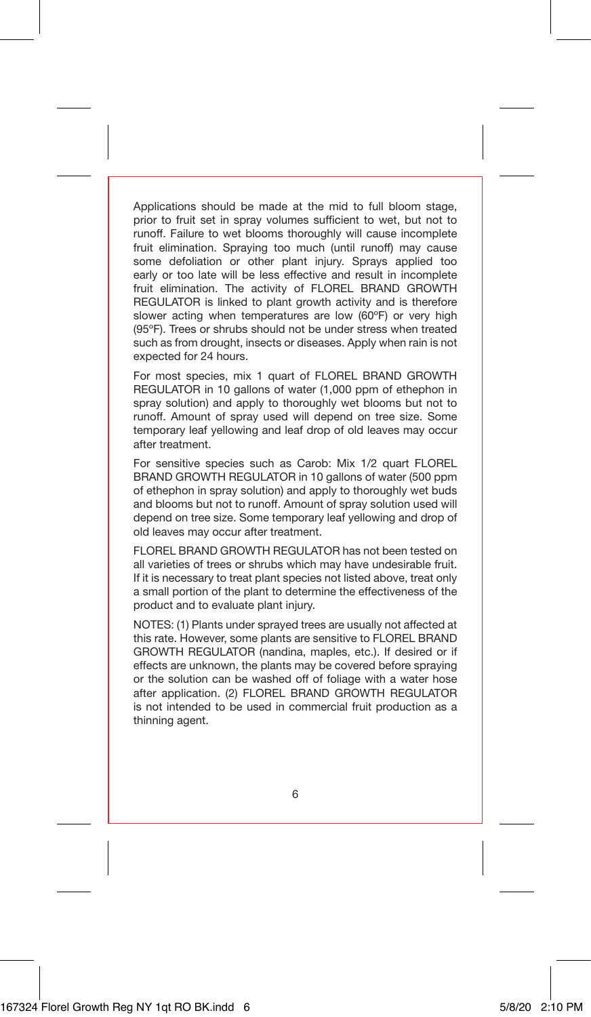Applications should be made at the mid to full bloom stage, prior to fruit set in spray volumes sufficient to wet, but not to runoff. Failure to wet blooms thoroughly will cause incomplete fruit elimination. Spraying too much (until runoff) may cause some defoliation or other plant injury. Sprays applied too early or too late will be less effective and result in incomplete fruit elimination. The activity of FLOREL BRAND GROWTH REGULATOR is linked to plant growth activity and is therefore slower acting when temperatures are low (60°F) or very high (95ºF). Trees or shrubs should not be under stress when treated such as from drought, insects or diseases. Apply when rain is not expected for 24 hours.

For most species, mix 1 quart of FLOREL BRAND GROWTH REGULATOR in 10 gallons of water (1,000 ppm of ethephon in spray solution) and apply to thoroughly wet blooms but not to runoff. Amount of spray used will depend on tree size. Some temporary leaf yellowing and leaf drop of old leaves may occur after treatment.

For sensitive species such as Carob: Mix 1/2 quart FLOREL BRAND GROWTH REGULATOR in 10 gallons of water (500 ppm of ethephon in spray solution) and apply to thoroughly wet buds and blooms but not to runoff. Amount of spray solution used will depend on tree size. Some temporary leaf yellowing and drop of old leaves may occur after treatment.

FLOREL BRAND GROWTH REGULATOR has not been tested on all varieties of trees or shrubs which may have undesirable fruit. If it is necessary to treat plant species not listed above, treat only a small portion of the plant to determine the effectiveness of the product and to evaluate plant injury.

NOTES: (1) Plants under sprayed trees are usually not affected at this rate. However, some plants are sensitive to FLOREL BRAND GROWTH REGULATOR (nandina, maples, etc.). If desired or if effects are unknown, the plants may be covered before spraying or the solution can be washed off of foliage with a water hose after application. (2) FLOREL BRAND GROWTH REGULATOR is not intended to be used in commercial fruit production as a thinning agent.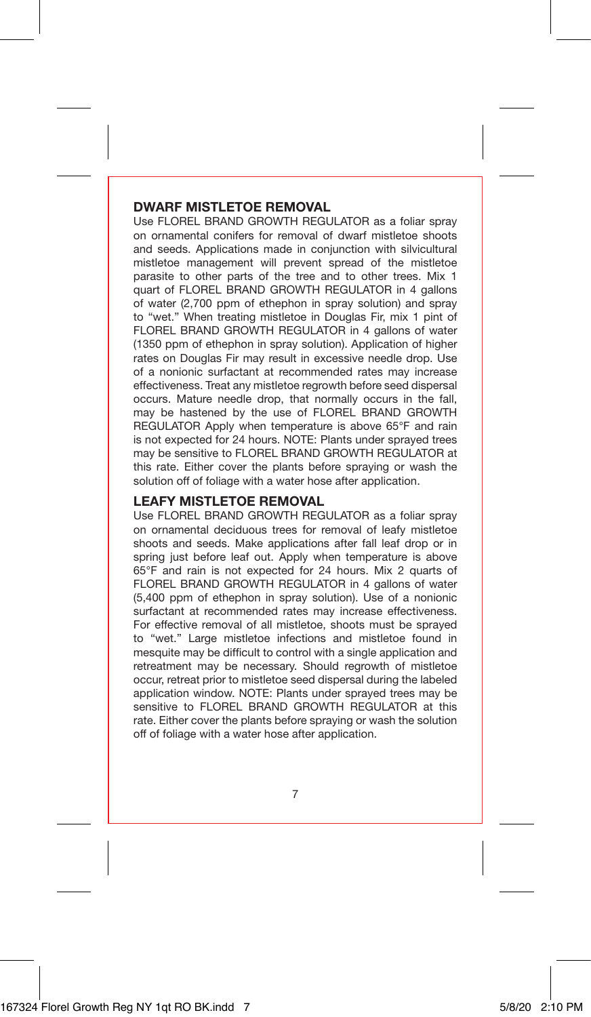#### **DWARF MISTLETOF REMOVAL**

Use FLOREL BRAND GROWTH REGULATOR as a foliar spray on ornamental conifers for removal of dwarf mistletoe shoots and seeds. Applications made in conjunction with silvicultural mistletoe management will prevent spread of the mistletoe parasite to other parts of the tree and to other trees. Mix 1 quart of FLOREL BRAND GROWTH REGULATOR in 4 gallons of water (2,700 ppm of ethephon in spray solution) and spray to "wet." When treating mistletoe in Douglas Fir, mix 1 pint of FLOREL BRAND GROWTH REGULATOR in 4 gallons of water (1350 ppm of ethephon in spray solution). Application of higher rates on Douglas Fir may result in excessive needle drop. Use of a nonionic surfactant at recommended rates may increase effectiveness. Treat any mistletoe regrowth before seed dispersal occurs. Mature needle drop, that normally occurs in the fall, may be hastened by the use of FLOREL BRAND GROWTH REGULATOR Apply when temperature is above 65°F and rain is not expected for 24 hours. NOTE: Plants under sprayed trees may be sensitive to FLOREL BRAND GROWTH REGULATOR at this rate. Either cover the plants before spraying or wash the solution off of foliage with a water hose after application.

#### **LEAFY MISTLETOE REMOVAL**

Use FLOREL BRAND GROWTH REGULATOR as a foliar spray on ornamental deciduous trees for removal of leafy mistletoe shoots and seeds. Make applications after fall leaf drop or in spring just before leaf out. Apply when temperature is above 65°F and rain is not expected for 24 hours. Mix 2 quarts of FLOREL BRAND GROWTH REGULATOR in 4 gallons of water (5,400 ppm of ethephon in spray solution). Use of a nonionic surfactant at recommended rates may increase effectiveness. For effective removal of all mistletoe, shoots must be sprayed to "wet." Large mistletoe infections and mistletoe found in mesquite may be difficult to control with a single application and retreatment may be necessary. Should regrowth of mistletoe occur, retreat prior to mistletoe seed dispersal during the labeled application window. NOTE: Plants under sprayed trees may be sensitive to FLOREL BRAND GROWTH REGULATOR at this rate. Either cover the plants before spraying or wash the solution off of foliage with a water hose after application.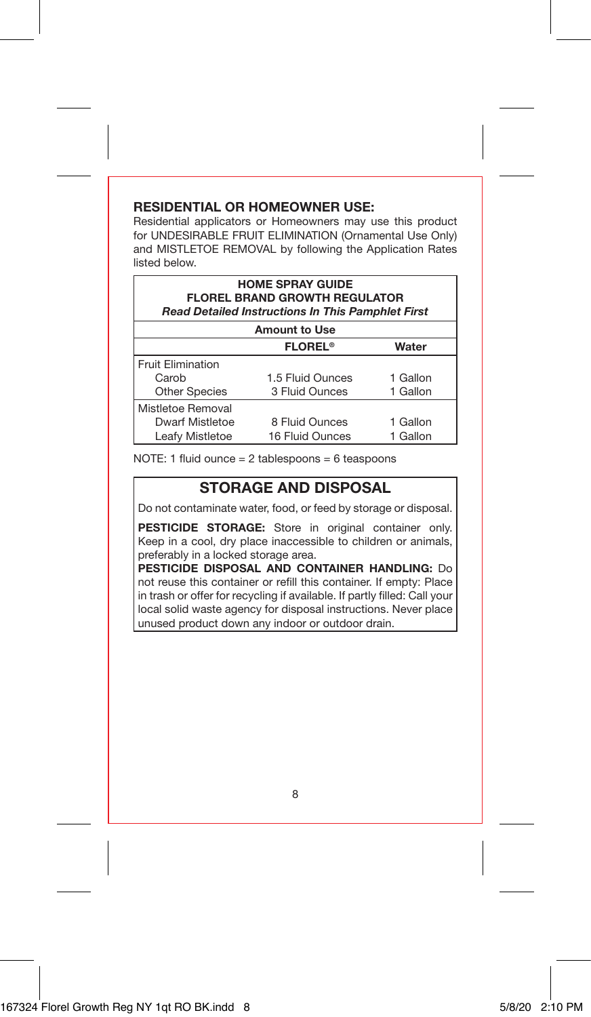#### **RESIDENTIAL OR HOMEOWNER USE:**

Residential applicators or Homeowners may use this product for UNDESIRABLE FRUIT ELIMINATION (Ornamental Use Only) and MISTLETOE REMOVAL by following the Application Rates listed below.

| <b>HOME SPRAY GUIDE</b><br><b>FLOREL BRAND GROWTH REGULATOR</b><br><b>Read Detailed Instructions In This Pamphlet First</b> |                           |          |  |  |
|-----------------------------------------------------------------------------------------------------------------------------|---------------------------|----------|--|--|
| <b>Amount to Use</b>                                                                                                        |                           |          |  |  |
|                                                                                                                             | <b>FLOREL<sup>®</sup></b> | Water    |  |  |
| <b>Fruit Elimination</b>                                                                                                    |                           |          |  |  |
| Carob                                                                                                                       | 1.5 Fluid Ounces          | 1 Gallon |  |  |
| <b>Other Species</b>                                                                                                        | 3 Fluid Ounces            | 1 Gallon |  |  |
| Mistletoe Removal                                                                                                           |                           |          |  |  |
| Dwarf Mistletoe                                                                                                             | 8 Fluid Ounces            | 1 Gallon |  |  |
| Leafy Mistletoe                                                                                                             | 16 Fluid Ounces           | 1 Gallon |  |  |

NOTE: 1 fluid ounce = 2 tablespoons = 6 teaspoons

#### **STORAGE AND DISPOSAL**

Do not contaminate water, food, or feed by storage or disposal.

**PESTICIDE STORAGE:** Store in original container only. Keep in a cool, dry place inaccessible to children or animals, preferably in a locked storage area.

**PESTICIDE DISPOSAL AND CONTAINER HANDLING:** Do not reuse this container or refill this container. If empty: Place in trash or offer for recycling if available. If partly filled: Call your local solid waste agency for disposal instructions. Never place unused product down any indoor or outdoor drain.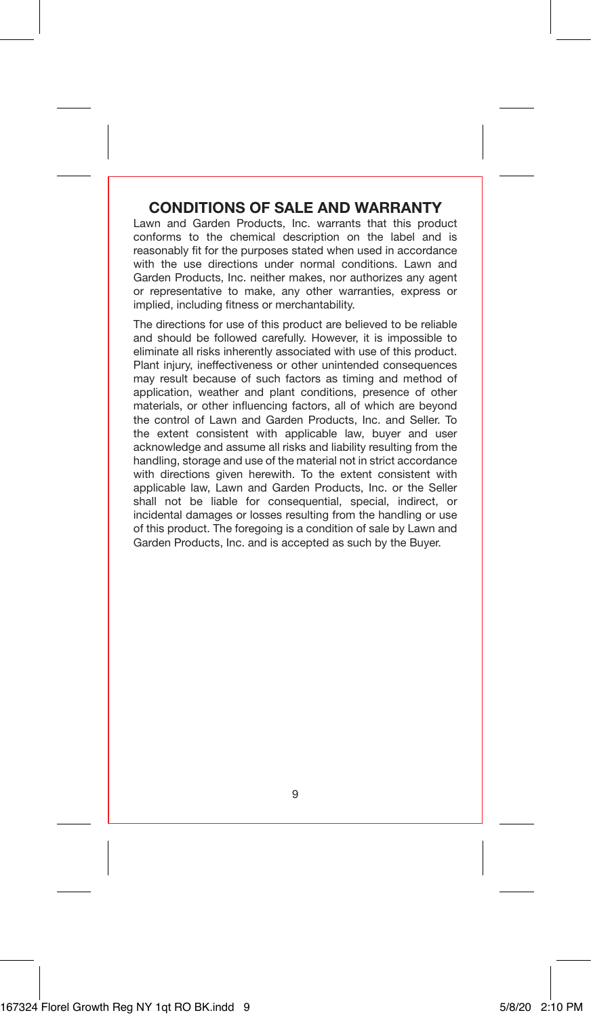#### **CONDITIONS OF SALE AND WARRANTY**

Lawn and Garden Products, Inc. warrants that this product conforms to the chemical description on the label and is reasonably fit for the purposes stated when used in accordance with the use directions under normal conditions. Lawn and Garden Products, Inc. neither makes, nor authorizes any agent or representative to make, any other warranties, express or implied, including fitness or merchantability.

The directions for use of this product are believed to be reliable and should be followed carefully. However, it is impossible to eliminate all risks inherently associated with use of this product. Plant injury, ineffectiveness or other unintended consequences may result because of such factors as timing and method of application, weather and plant conditions, presence of other materials, or other influencing factors, all of which are beyond the control of Lawn and Garden Products, Inc. and Seller. To the extent consistent with applicable law, buyer and user acknowledge and assume all risks and liability resulting from the handling, storage and use of the material not in strict accordance with directions given herewith. To the extent consistent with applicable law, Lawn and Garden Products, Inc. or the Seller shall not be liable for consequential, special, indirect, or incidental damages or losses resulting from the handling or use of this product. The foregoing is a condition of sale by Lawn and Garden Products, Inc. and is accepted as such by the Buyer.